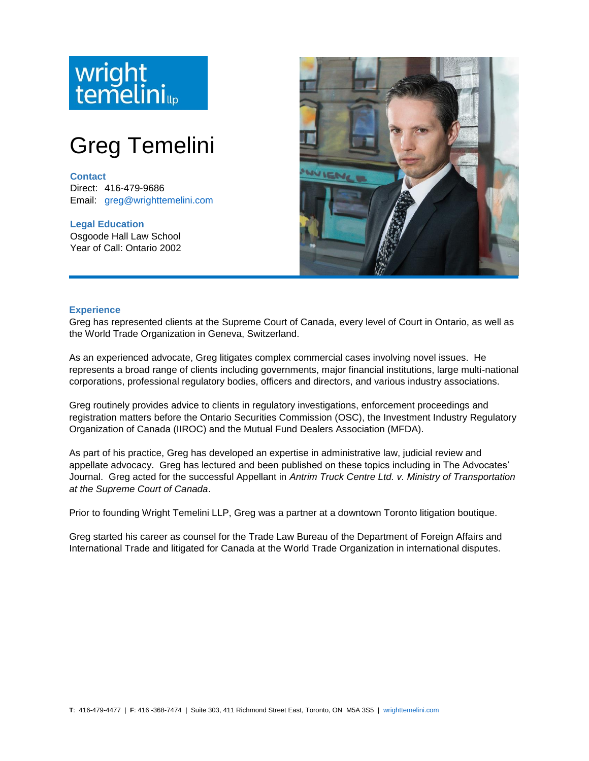# wright<br>temelini

# Greg Temelini

## **Contact**

Direct: 416-479-9686 Email: [greg@wrighttemelini.com](mailto:greg@wrighttemelini.com)

**Legal Education** Osgoode Hall Law School Year of Call: Ontario 2002



## **Experience**

Greg has represented clients at the Supreme Court of Canada, every level of Court in Ontario, as well as the World Trade Organization in Geneva, Switzerland.

As an experienced advocate, Greg litigates complex commercial cases involving novel issues. He represents a broad range of clients including governments, major financial institutions, large multi-national corporations, professional regulatory bodies, officers and directors, and various industry associations.

Greg routinely provides advice to clients in regulatory investigations, enforcement proceedings and registration matters before the Ontario Securities Commission (OSC), the Investment Industry Regulatory Organization of Canada (IIROC) and the Mutual Fund Dealers Association (MFDA).

As part of his practice, Greg has developed an expertise in administrative law, judicial review and appellate advocacy. Greg has lectured and been published on these topics including in The Advocates' Journal. Greg acted for the successful Appellant in *Antrim Truck Centre Ltd. v. Ministry of Transportation at the Supreme Court of Canada*.

Prior to founding Wright Temelini LLP, Greg was a partner at a downtown Toronto litigation boutique.

Greg started his career as counsel for the Trade Law Bureau of the Department of Foreign Affairs and International Trade and litigated for Canada at the World Trade Organization in international disputes.